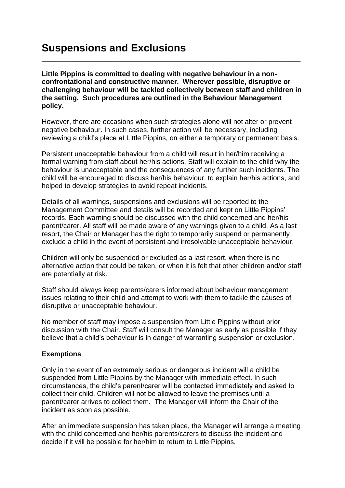**Little Pippins is committed to dealing with negative behaviour in a nonconfrontational and constructive manner. Wherever possible, disruptive or challenging behaviour will be tackled collectively between staff and children in the setting. Such procedures are outlined in the Behaviour Management policy.**

\_\_\_\_\_\_\_\_\_\_\_\_\_\_\_\_\_\_\_\_\_\_\_\_\_\_\_\_\_\_\_\_\_\_\_\_\_\_\_\_\_\_\_\_\_\_\_\_\_\_\_\_\_\_\_\_\_\_\_\_\_\_\_\_\_\_\_

However, there are occasions when such strategies alone will not alter or prevent negative behaviour. In such cases, further action will be necessary, including reviewing a child's place at Little Pippins, on either a temporary or permanent basis.

Persistent unacceptable behaviour from a child will result in her/him receiving a formal warning from staff about her/his actions. Staff will explain to the child why the behaviour is unacceptable and the consequences of any further such incidents. The child will be encouraged to discuss her/his behaviour, to explain her/his actions, and helped to develop strategies to avoid repeat incidents.

Details of all warnings, suspensions and exclusions will be reported to the Management Committee and details will be recorded and kept on Little Pippins' records. Each warning should be discussed with the child concerned and her/his parent/carer. All staff will be made aware of any warnings given to a child. As a last resort, the Chair or Manager has the right to temporarily suspend or permanently exclude a child in the event of persistent and irresolvable unacceptable behaviour.

Children will only be suspended or excluded as a last resort, when there is no alternative action that could be taken, or when it is felt that other children and/or staff are potentially at risk.

Staff should always keep parents/carers informed about behaviour management issues relating to their child and attempt to work with them to tackle the causes of disruptive or unacceptable behaviour.

No member of staff may impose a suspension from Little Pippins without prior discussion with the Chair. Staff will consult the Manager as early as possible if they believe that a child's behaviour is in danger of warranting suspension or exclusion.

## **Exemptions**

Only in the event of an extremely serious or dangerous incident will a child be suspended from Little Pippins by the Manager with immediate effect. In such circumstances, the child's parent/carer will be contacted immediately and asked to collect their child. Children will not be allowed to leave the premises until a parent/carer arrives to collect them. The Manager will inform the Chair of the incident as soon as possible.

After an immediate suspension has taken place, the Manager will arrange a meeting with the child concerned and her/his parents/carers to discuss the incident and decide if it will be possible for her/him to return to Little Pippins.